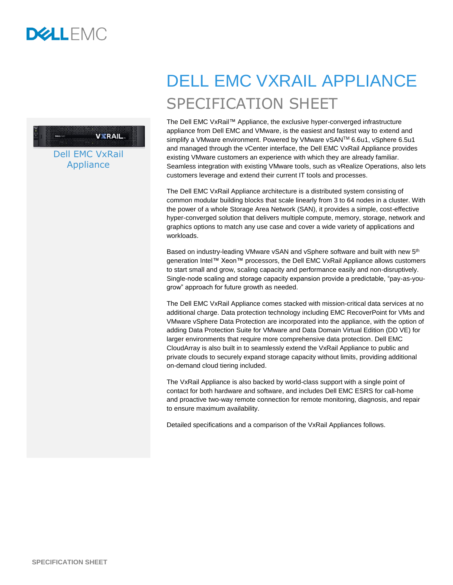

### **VYRAIL**

Dell EMC VxRail **Appliance** 

# DELL EMC VXRAIL APPLIANCE SPECIFICATION SHEET

The Dell EMC VxRail™ Appliance, the exclusive hyper-converged infrastructure appliance from Dell EMC and VMware, is the easiest and fastest way to extend and simplify a VMware environment. Powered by VMware vSAN™ 6.6u1, vSphere 6.5u1 and managed through the vCenter interface, the Dell EMC VxRail Appliance provides existing VMware customers an experience with which they are already familiar. Seamless integration with existing VMware tools, such as vRealize Operations, also lets customers leverage and extend their current IT tools and processes.

The Dell EMC VxRail Appliance architecture is a distributed system consisting of common modular building blocks that scale linearly from 3 to 64 nodes in a cluster. With the power of a whole Storage Area Network (SAN), it provides a simple, cost-effective hyper-converged solution that delivers multiple compute, memory, storage, network and graphics options to match any use case and cover a wide variety of applications and workloads.

Based on industry-leading VMware vSAN and vSphere software and built with new 5<sup>th</sup> generation Intel™ Xeon™ processors, the Dell EMC VxRail Appliance allows customers to start small and grow, scaling capacity and performance easily and non-disruptively. Single-node scaling and storage capacity expansion provide a predictable, "pay-as-yougrow" approach for future growth as needed.

The Dell EMC VxRail Appliance comes stacked with mission-critical data services at no additional charge. Data protection technology including EMC RecoverPoint for VMs and VMware vSphere Data Protection are incorporated into the appliance, with the option of adding Data Protection Suite for VMware and Data Domain Virtual Edition (DD VE) for larger environments that require more comprehensive data protection. Dell EMC CloudArray is also built in to seamlessly extend the VxRail Appliance to public and private clouds to securely expand storage capacity without limits, providing additional on-demand cloud tiering included.

The VxRail Appliance is also backed by world-class support with a single point of contact for both hardware and software, and includes Dell EMC ESRS for call-home and proactive two-way remote connection for remote monitoring, diagnosis, and repair to ensure maximum availability.

Detailed specifications and a comparison of the VxRail Appliances follows.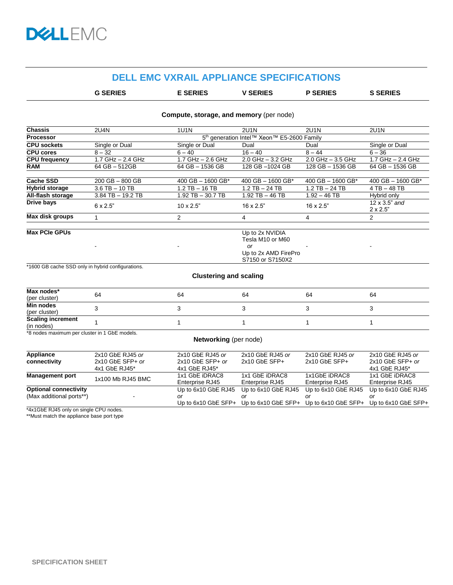## **DELL EMC VXRAIL APPLIANCE SPECIFICATIONS**

| <b>G SERIES</b> | <b>E SERIES</b> | <b>V SERIES</b> | <b>P SERIES</b> | <b>S SERIES</b> |  |
|-----------------|-----------------|-----------------|-----------------|-----------------|--|
|                 |                 |                 |                 |                 |  |

#### **Compute, storage, and memory** (per node)

| <b>Chassis</b>        | <b>2U4N</b>                                            | <b>1U1N</b>            | <b>2U1N</b>                                                                           | <b>2U1N</b>           | <b>2U1N</b>                              |
|-----------------------|--------------------------------------------------------|------------------------|---------------------------------------------------------------------------------------|-----------------------|------------------------------------------|
| <b>Processor</b>      | 5 <sup>th</sup> generation Intel™ Xeon™ E5-2600 Family |                        |                                                                                       |                       |                                          |
| <b>CPU sockets</b>    | Single or Dual                                         | Single or Dual<br>Dual |                                                                                       | Dual                  | Single or Dual                           |
| <b>CPU cores</b>      | $8 - 32$                                               | $6 - 40$               | $16 - 40$                                                                             | $8 - 44$              | $6 - 36$                                 |
| <b>CPU frequency</b>  | 1.7 GHz - 2.4 GHz                                      | $1.7$ GHz $-$ 2.6 GHz  | 2.0 GHz $-$ 3.2 GHz                                                                   | $2.0$ GHz $-$ 3.5 GHz | 1.7 GHz - 2.4 GHz                        |
| <b>RAM</b>            | 64 GB - 512GB                                          | 64 GB - 1536 GB        | 128 GB-1024 GB                                                                        | 128 GB - 1536 GB      | 64 GB - 1536 GB                          |
|                       |                                                        |                        |                                                                                       |                       |                                          |
| <b>Cache SSD</b>      | $200$ GB $-$ 800 GB                                    | 400 GB $-$ 1600 GB*    | 400 GB $-$ 1600 GB*                                                                   | 400 GB $-$ 1600 GB*   | 400 GB $-$ 1600 GB*                      |
| <b>Hybrid storage</b> | $3.6$ TB $-$ 10 TB                                     | $1.2$ TB $-$ 16 TB     | $1.2$ TB $-$ 24 TB                                                                    | $1.2$ TB $-$ 24 TB    | $4$ TB $-$ 48 TB                         |
| All-flash storage     | $3.84$ TB $-$ 19.2 TB                                  | $1.92$ TB $-$ 30.7 TB  | $1.92$ TB $-$ 46 TB                                                                   | $1.92 - 46$ TB        | Hybrid only                              |
| Drive bays            | $6 \times 2.5"$                                        | $10 \times 2.5$ "      | $16 \times 2.5$ "                                                                     | $16 \times 2.5"$      | $12 \times 3.5$ " and<br>$2 \times 2.5"$ |
| Max disk groups       |                                                        | 2                      | 4                                                                                     | 4                     | $\overline{2}$                           |
| <b>Max PCIe GPUs</b>  |                                                        |                        | Up to 2x NVIDIA<br>Tesla M10 or M60<br>or<br>Up to 2x AMD FirePro<br>S7150 or S7150X2 |                       |                                          |

\*1600 GB cache SSD only in hybrid configurations.

| Max nodes*               |    |    |    |    |    |  |
|--------------------------|----|----|----|----|----|--|
| (per cluster)            | 64 | 64 | 64 | 64 | 64 |  |
| Min nodes                |    |    |    |    |    |  |
| (per cluster)            |    |    |    |    |    |  |
| <b>Scaling increment</b> |    |    |    |    |    |  |
| (in nodes)               |    |    |    |    |    |  |

**Clustering and scaling**

\*8 nodes maximum per cluster in 1 GbE models.

#### **Networking** (per node)

| Appliance                    | 2x10 GbE RJ45 or   | 2x10 GbE RJ45 or    | 2x10 GbE RJ45 or         | 2x10 GbE RJ45 or      | 2x10 GbE RJ45 or      |
|------------------------------|--------------------|---------------------|--------------------------|-----------------------|-----------------------|
| connectivity                 | $2x10$ GbE SFP+ or | $2x10$ GbE SFP+ or  | $2x10$ GbE SFP+          | $2x10$ GbE SFP $+$    | $2x10$ GbE SFP+ or    |
|                              | 4x1 GbE RJ45*      | 4x1 GbE RJ45*       |                          |                       | 4x1 GbE RJ45*         |
| <b>Management port</b>       | 1x100 Mb RJ45 BMC  | 1x1 GbE iDRAC8      | 1x1 GbE iDRAC8           | 1x1GbE iDRAC8         | 1x1 GbE iDRAC8        |
|                              |                    | Enterprise RJ45     | Enterprise RJ45          | Enterprise RJ45       | Enterprise RJ45       |
| <b>Optional connectivity</b> |                    | Up to 6x10 GbE RJ45 | Up to 6x10 GbE RJ45      | Up to 6x10 GbE RJ45   | Up to 6x10 GbE RJ45   |
| (Max additional ports**)     |                    | or                  | or                       | or                    | or                    |
|                              |                    | Up to 6x10 GbE SFP+ | Up to $6x10$ GbE SFP $+$ | Up to $6x10$ GbE SFP+ | Up to $6x10$ GbE SFP+ |

\*4x1GbE RJ45 only on single CPU nodes.

\*\*Must match the appliance base port type